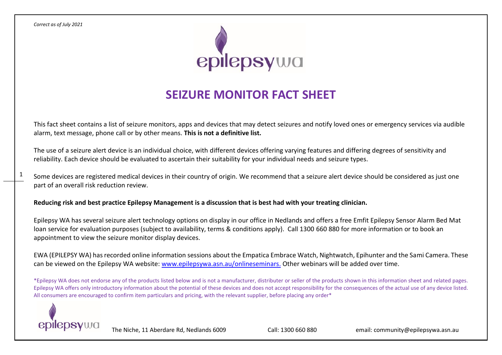1



# **SEIZURE MONITOR FACT SHEET**

This fact sheet contains a list of seizure monitors, apps and devices that may detect seizures and notify loved ones or emergency services via audible alarm, text message, phone call or by other means. **This is not a definitive list.**

The use of a seizure alert device is an individual choice, with different devices offering varying features and differing degrees of sensitivity and reliability. Each device should be evaluated to ascertain their suitability for your individual needs and seizure types.

Some devices are registered medical devices in their country of origin. We recommend that a seizure alert device should be considered as just one part of an overall risk reduction review.

**Reducing risk and best practice Epilepsy Management is a discussion that is best had with your treating clinician.**

Epilepsy WA has several seizure alert technology options on display in our office in Nedlands and offers a free Emfit Epilepsy Sensor Alarm Bed Mat loan service for evaluation purposes (subject to availability, terms & conditions apply). Call 1300 660 880 for more information or to book an appointment to view the seizure monitor display devices.

EWA (EPILEPSY WA) has recorded online information sessions about the Empatica Embrace Watch, Nightwatch, Epihunter and the Sami Camera. These can be viewed on the Epilepsy WA website: [www.epilepsywa.asn.au/onlineseminars.](http://www.epilepsywa.asn.au/onlineseminars) Other webinars will be added over time.

\*Epilepsy WA does not endorse any of the products listed below and is not a manufacturer, distributer or seller of the products shown in this information sheet and related pages. Epilepsy WA offers only introductory information about the potential of these devices and does not accept responsibility for the consequences of the actual use of any device listed. All consumers are encouraged to confirm item particulars and pricing, with the relevant supplier, before placing any order\*

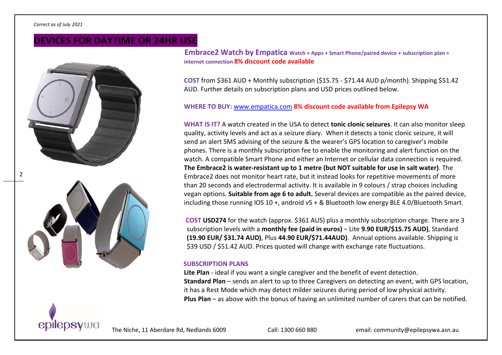# **DEVICES FOR DAYTIME OR 24HR USE**



 **Embrace2 Watch by Empatica Watch + Apps + Smart Phone/paired device + subscription plan + internet connection 8% discount code available**

**COST** from \$361 AUD + Monthly subscription (\$15.75 - \$71.44 AUD p/month). Shipping \$51.42 AUD. Further details on subscription plans and USD prices outlined below.

#### **WHERE TO BUY:** [www.empatica.com](http://www.empatica.com/) **8% discount code available from Epilepsy WA**

**WHAT IS IT?** A watch created in the USA to detect **tonic clonic seizures**. It can also monitor sleep quality, activity levels and act as a seizure diary. When it detects a tonic clonic seizure, it will send an alert SMS advising of the seizure & the wearer's GPS location to caregiver's mobile phones. There is a monthly subscription fee to enable the monitoring and alert function on the watch. A compatible Smart Phone and either an Internet or cellular data connection is required. **The Embrace2 is water-resistant up to 1 metre (but NOT suitable for use in salt water)**. The Embrace2 does not monitor heart rate, but it instead looks for repetitive movements of more than 20 seconds and electrodermal activity. It is available in 9 colours / strap choices including vegan options. **Suitable from age 6 to adult.** Several devices are compatible as the paired device, including those running IOS 10 +, android v5 + & Bluetooth low energy BLE 4.0/Bluetooth Smart.

**COST USD274** for the watch (approx. \$361 AUS) plus a monthly subscription charge. There are 3 subscription levels with a **monthly fee (paid in euros)** – Lite **9.90 EUR/\$15.75 AUD)**, Standard **(19.90 EUR/ \$31.74 AUD)**, Plus **44.90 EUR/\$71.44AUD)**. Annual options available. Shipping is \$39 USD / \$51.42 AUD. Prices quoted will change with exchange rate fluctuations.

#### **SUBSCRIPTION PLANS**

**Lite Plan** - ideal if you want a single caregiver and the benefit of event detection. **Standard Plan** – sends an alert to up to three Caregivers on detecting an event, with GPS location, it has a Rest Mode which may detect milder seizures during period of low physical activity. **Plus Plan** – as above with the bonus of having an unlimited number of carers that can be notified.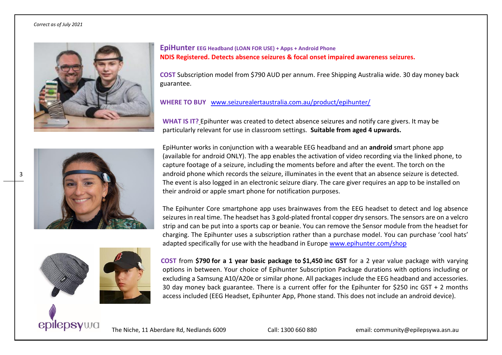

**EpiHunter EEG Headband (LOAN FOR USE) + Apps + Android Phone NDIS Registered. Detects absence seizures & focal onset impaired awareness seizures.** 

**COST** Subscription model from \$790 AUD per annum. Free Shipping Australia wide. 30 day money back guarantee.

**WHERE TO BUY** [www.seizurealertaustralia.com.au/product/epihunter/](http://www.seizurealertaustralia.com.au/product/epihunter/)

**WHAT IS IT?** Epihunter was created to detect absence seizures and notify care givers. It may be particularly relevant for use in classroom settings. **Suitable from aged 4 upwards.** 

EpiHunter works in conjunction with a wearable EEG headband and an **android** smart phone app (available for android ONLY). The app enables the activation of video recording via the linked phone, to capture footage of a seizure, including the moments before and after the event. The torch on the android phone which records the seizure, illuminates in the event that an absence seizure is detected. The event is also logged in an electronic seizure diary. The care giver requires an app to be installed on their android or apple smart phone for notification purposes.

The Epihunter Core smartphone app uses brainwaves from the EEG headset to detect and log absence seizures in real time. The headset has 3 gold-plated frontal copper dry sensors. The sensors are on a velcro strip and can be put into a sports cap or beanie. You can remove the Sensor module from the headset for charging. The Epihunter uses a subscription rather than a purchase model. You can purchase 'cool hats' adapted specifically for use with the headband in Europe [www.epihunter.com/shop](http://www.epihunter.com/shop)





 **COST** from **\$790 for a 1 year basic package to \$1,450 inc GST** for a 2 year value package with varying options in between. Your choice of Epihunter Subscription Package durations with options including or excluding a Samsung A10/A20e or similar phone. All packages include the EEG headband and accessories. 30 day money back guarantee. There is a current offer for the Epihunter for \$250 inc GST + 2 months access included (EEG Headset, Epihunter App, Phone stand. This does not include an android device).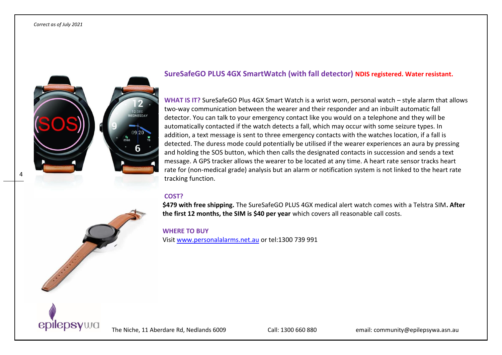4



## **SureSafeGO PLUS 4GX SmartWatch (with fall detector) NDIS registered. Water resistant.**

**WHAT IS IT?** SureSafeGO Plus 4GX Smart Watch is a wrist worn, personal watch – style alarm that allows two-way communication between the wearer and their responder and an inbuilt automatic fall detector. You can talk to your emergency contact like you would on a telephone and they will be automatically contacted if the watch detects a fall, which may occur with some seizure types. In addition, a text message is sent to three emergency contacts with the watches location, if a fall is detected. The duress mode could potentially be utilised if the wearer experiences an aura by pressing and holding the SOS button, which then calls the designated contacts in succession and sends a text message. A GPS tracker allows the wearer to be located at any time. A heart rate sensor tracks heart rate for (non-medical grade) analysis but an alarm or notification system is not linked to the heart rate tracking function.

#### **COST?**

**\$479 with free shipping.** The SureSafeGO PLUS 4GX medical alert watch comes with a Telstra SIM**. After the first 12 months, the SIM is \$40 per year** which covers all reasonable call costs.

#### **WHERE TO BUY**

Visit [www.personalalarms.net.au](http://www.personalalarms.net.au/) or tel:1300 739 991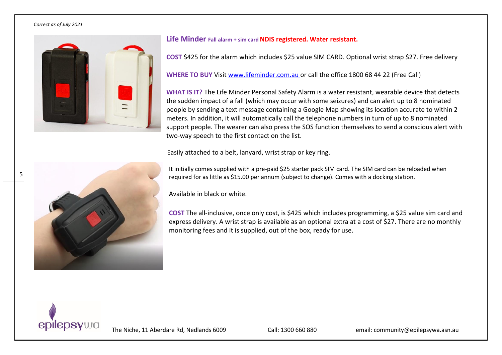

#### **Life Minder Fall alarm + sim cardNDIS registered. Water resistant.**

**COST** \$425 for the alarm which includes \$25 value SIM CARD. Optional wrist strap \$27. Free delivery

**WHERE TO BUY** Visit [www.lifeminder.com.au](http://www.lifeminder.com.au/) or call the office 1800 68 44 22 (Free Call)

**WHAT IS IT?** The Life Minder Personal Safety Alarm is a water resistant, wearable device that detects the sudden impact of a fall (which may occur with some seizures) and can alert up to 8 nominated people by sending a text message containing a Google Map showing its location accurate to within 2 meters. In addition, it will automatically call the telephone numbers in turn of up to 8 nominated support people. The wearer can also press the SOS function themselves to send a conscious alert with two-way speech to the first contact on the list.

Easily attached to a belt, lanyard, wrist strap or key ring.

It initially comes supplied with a pre-paid \$25 starter pack SIM card. The SIM card can be reloaded when required for as little as \$15.00 per annum (subject to change). Comes with a docking station.

Available in black or white.

**COST** The all-inclusive, once only cost, is \$425 which includes programming, a \$25 value sim card and express delivery. A wrist strap is available as an optional extra at a cost of \$27. There are no monthly monitoring fees and it is supplied, out of the box, ready for use.



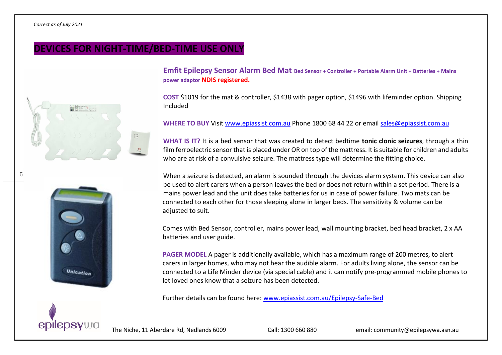6

# **DEVICES FOR NIGHT-TIME/BED-TIME USE ONLY**





**Emfit Epilepsy Sensor Alarm Bed Mat Bed Sensor + Controller + Portable Alarm Unit + Batteries + Mains power adaptor NDIS registered.**

**COST** \$1019 for the mat & controller, \$1438 with pager option, \$1496 with lifeminder option. Shipping Included

**WHERE TO BUY** Visit www.epiassist.com.au Phone 1800 68 44 22 or email [sales@epiassist.com.au](mailto:sales@epiassist.com.au)

**WHAT IS IT?** It is a bed sensor that was created to detect bedtime **tonic clonic seizures**, through a thin film ferroelectric sensor that is placed under OR on top of the mattress. It is suitable for children and adults who are at risk of a convulsive seizure. The mattress type will determine the fitting choice.

When a seizure is detected, an alarm is sounded through the devices alarm system. This device can also be used to alert carers when a person leaves the bed or does not return within a set period. There is a mains power lead and the unit does take batteries for us in case of power failure. Two mats can be connected to each other for those sleeping alone in larger beds. The sensitivity & volume can be adjusted to suit.

Comes with Bed Sensor, controller, mains power lead, wall mounting bracket, bed head bracket, 2 x AA batteries and user guide.

**PAGER MODEL** A pager is additionally available, which has a maximum range of 200 metres, to alert carers in larger homes, who may not hear the audible alarm. For adults living alone, the sensor can be connected to a Life Minder device (via special cable) and it can notify pre-programmed mobile phones to let loved ones know that a seizure has been detected.

Further details can be found here: [www.epiassist.com.au/Epilepsy-Safe-Bed](http://www.epiassist.com.au/Epilepsy-Safe-Bed)

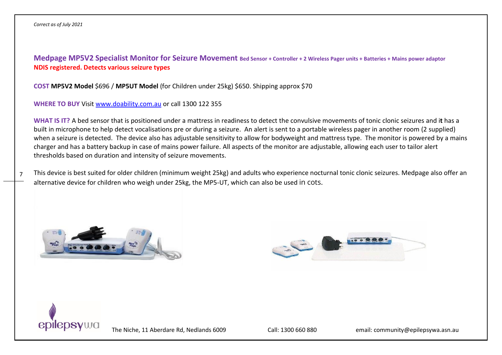**Medpage MP5V2 Specialist Monitor for Seizure Movement Bed Sensor + Controller + 2 Wireless Pager units + Batteries + Mains power adaptor NDIS registered. Detects various seizure types**

**COST MP5V2 Model** \$696 / **MP5UT Model** (for Children under 25kg) \$650. Shipping approx \$70

**WHERE TO BUY** Visit [www.doability.com.au](http://www.doability.com.au/) or call 1300 122 355

**WHAT IS IT?** A bed sensor that is positioned under a mattress in readiness to detect the convulsive movements of tonic clonic seizures and i**t** has a built in microphone to help detect vocalisations pre or during a seizure. An alert is sent to a portable wireless pager in another room (2 supplied) when a seizure is detected. The device also has adjustable sensitivity to allow for bodyweight and mattress type. The monitor is powered by a mains charger and has a battery backup in case of mains power failure. All aspects of the monitor are adjustable, allowing each user to tailor alert thresholds based on duration and intensity of seizure movements.

7 This device is best suited for older children (minimum weight 25kg) and adults who experience nocturnal tonic clonic seizures. Medpage also offer an alternative device for children who weigh under 25kg, the MP5-UT, which can also be used in cots.





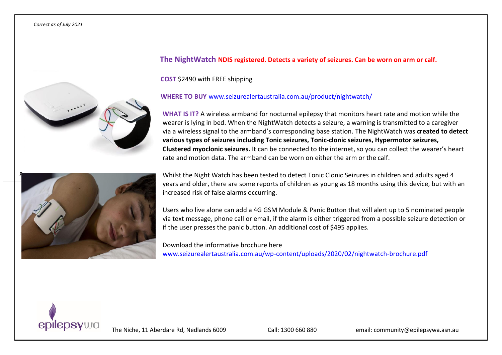



## **The NightWatch NDIS registered. Detects a variety of seizures. Can be worn on arm or calf.**

**COST** \$2490 with FREE shipping

**WHERE TO BUY** [www.seizurealertaustralia.com.au/product/nightwatch/](http://www.seizurealertaustralia.com.au/product/nightwatch/)

**WHAT IS IT?** A wireless armband for nocturnal epilepsy that monitors heart rate and motion while the wearer is lying in bed. When the NightWatch detects a seizure, a warning is transmitted to a caregiver via a wireless signal to the armband's corresponding base station. The NightWatch was **created to detect various types of seizures including Tonic seizures, Tonic-clonic seizures, Hypermotor seizures, Clustered myoclonic seizures.** It can be connected to the internet, so you can collect the wearer's heart rate and motion data. The armband can be worn on either the arm or the calf.

Whilst the Night Watch has been tested to detect Tonic Clonic Seizures in children and adults aged 4 years and older, there are some reports of children as young as 18 months using this device, but with an increased risk of false alarms occurring.

Users who live alone can add a 4G GSM Module & Panic Button that will alert up to 5 nominated people via text message, phone call or email, if the alarm is either triggered from a possible seizure detection or if the user presses the panic button. An additional cost of \$495 applies.

Download the informative brochure here [www.seizurealertaustralia.com.au/wp-content/uploads/2020/02/nightwatch-brochure.pdf](http://www.seizurealertaustralia.com.au/wp-content/uploads/2020/02/nightwatch-brochure.pdf)

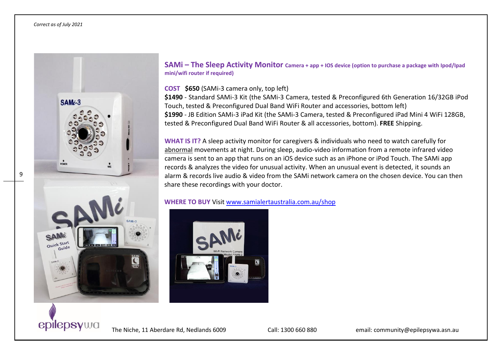

**SAMi – The Sleep Activity Monitor Camera + app + IOS device (option to purchase a package with Ipod/Ipad mini/wifi router if required)**

### **COST \$650** (SAMi-3 camera only, top left)

**\$1490** - Standard SAMi-3 Kit (the SAMi-3 Camera, tested & Preconfigured 6th Generation 16/32GB iPod Touch, tested & Preconfigured Dual Band WiFi Router and accessories, bottom left) **\$1990** - JB Edition SAMi-3 iPad Kit (the SAMi-3 Camera, tested & Preconfigured iPad Mini 4 WiFi 128GB, tested & Preconfigured Dual Band WiFi Router & all accessories, bottom). **FREE** Shipping.

**WHAT IS IT?** A sleep activity monitor for caregivers & individuals who need to watch carefully for abnormal movements at night. During sleep, audio-video information from a remote infrared video camera is sent to an app that runs on an iOS device such as an iPhone or iPod Touch. The SAMi app records & analyzes the video for unusual activity. When an unusual event is detected, it sounds an alarm & records live audio & video from the SAMi network camera on the chosen device. You can then share these recordings with your doctor.

**WHERE TO BUY** Visit [www.samialertaustralia.com.au/shop](http://www.samialertaustralia.com.au/shop)

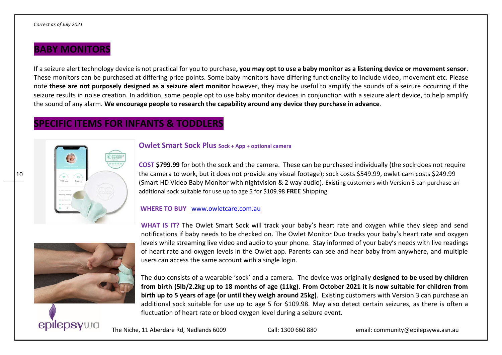# **BABY MONITORS**

If a seizure alert technology device is not practical for you to purchase**, you may opt to use a baby monitor as a listening device or movement sensor**. These monitors can be purchased at differing price points. Some baby monitors have differing functionality to include video, movement etc. Please note **these are not purposely designed as a seizure alert monitor** however, they may be useful to amplify the sounds of a seizure occurring if the seizure results in noise creation. In addition, some people opt to use baby monitor devices in conjunction with a seizure alert device, to help amplify the sound of any alarm. **We encourage people to research the capability around any device they purchase in advance**.

# **SPECIFIC ITEMS FOR INFANTS & TODDLERS**



## **Owlet Smart Sock Plus Sock + App + optional camera**

**COST \$799.99** for both the sock and the camera. These can be purchased individually (the sock does not require the camera to work, but it does not provide any visual footage); sock costs \$549.99, owlet cam costs \$249.99 (Smart HD Video Baby Monitor with nightvision & 2 way audio). Existing customers with Version 3 can purchase an additional sock suitable for use up to age 5 for \$109.98 **FREE** Shipping

#### **WHERE TO BUY** www.owletcare.com.au



**WHAT IS IT?** The Owlet Smart Sock will track your baby's heart rate and oxygen while they sleep and send notifications if baby needs to be checked on. The Owlet Monitor Duo tracks your baby's heart rate and oxygen levels while streaming live video and audio to your phone. Stay informed of your baby's needs with live readings of heart rate and oxygen levels in the Owlet app. Parents can see and hear baby from anywhere, and multiple users can access the same account with a single login.

The duo consists of a wearable 'sock' and a camera. The device was originally **designed to be used by children from birth (5lb/2.2kg up to 18 months of age (11kg). From October 2021 it is now suitable for children from birth up to 5 years of age (or until they weigh around 25kg)**. Existing customers with Version 3 can purchase an additional sock suitable for use up to age 5 for \$109.98. May also detect certain seizures, as there is often a fluctuation of heart rate or blood oxygen level during a seizure event.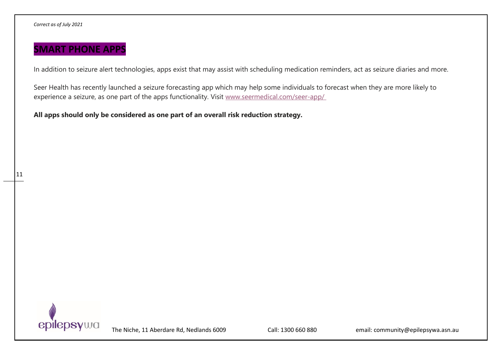11

# **SMART PHONE APPS**

In addition to seizure alert technologies, apps exist that may assist with scheduling medication reminders, act as seizure diaries and more.

Seer Health has recently launched a seizure forecasting app which may help some individuals to forecast when they are more likely to experience a seizure, as one part of the apps functionality. Visit [www.seermedical.com/seer-app/](http://www.seermedical.com/seer-app/ )

**All apps should only be considered as one part of an overall risk reduction strategy.**

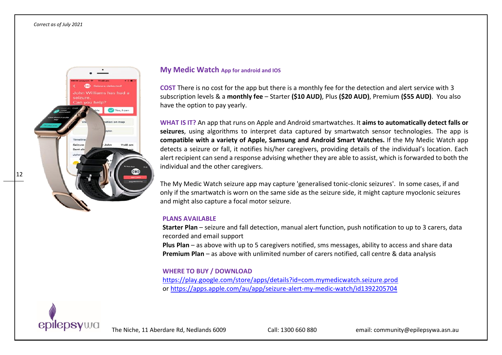12



#### **My Medic Watch App for android and IOS**

**COST** There is no cost for the app but there is a monthly fee for the detection and alert service with 3 subscription levels & a **monthly fee** – Starter **(\$10 AUD)**, Plus **(\$20 AUD)**, Premium **(\$55 AUD)**. You also have the option to pay yearly.

**WHAT IS IT?** An app that runs on Apple and Android smartwatches. It **aims to automatically detect falls or seizures**, using algorithms to interpret data captured by smartwatch sensor technologies. The app is **compatible with a variety of Apple, Samsung and Android Smart Watches.** If the My Medic Watch app detects a seizure or fall, it notifies his/her caregivers, providing details of the individual's location. Each alert recipient can send a response advising whether they are able to assist, which is forwarded to both the individual and the other caregivers.

The My Medic Watch seizure app may capture 'generalised tonic-clonic seizures'. In some cases, if and only if the smartwatch is worn on the same side as the seizure side, it might capture myoclonic seizures and might also capture a focal motor seizure.

#### **PLANS AVAILABLE**

**Starter Plan** – seizure and fall detection, manual alert function, push notification to up to 3 carers, data recorded and email support

**Plus Plan** – as above with up to 5 caregivers notified, sms messages, ability to access and share data **Premium Plan** – as above with unlimited number of carers notified, call centre & data analysis

### **WHERE TO BUY / DOWNLOAD**

<https://play.google.com/store/apps/details?id=com.mymedicwatch.seizure.prod> or <https://apps.apple.com/au/app/seizure-alert-my-medic-watch/id1392205704>

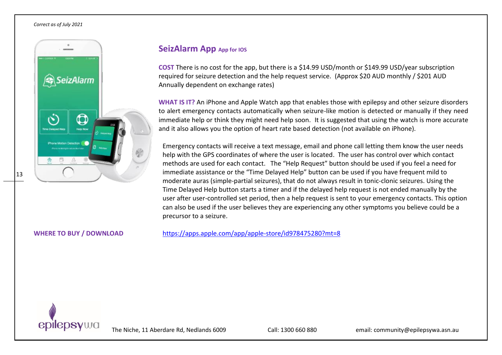13



## **SeizAlarm App App** for IOS

**COST** There is no cost for the app, but there is a \$14.99 USD/month or \$149.99 USD/year subscription required for seizure detection and the help request service. (Approx \$20 AUD monthly / \$201 AUD Annually dependent on exchange rates)

**WHAT IS IT?** An iPhone and Apple Watch app that enables those with epilepsy and other seizure disorders to alert emergency contacts automatically when seizure-like motion is detected or manually if they need immediate help or think they might need help soon. It is suggested that using the watch is more accurate and it also allows you the option of heart rate based detection (not available on iPhone).

Emergency contacts will receive a text message, email and phone call letting them know the user needs help with the GPS coordinates of where the user is located. The user has control over which contact methods are used for each contact. The "Help Request" button should be used if you feel a need for immediate assistance or the "Time Delayed Help" button can be used if you have frequent mild to moderate auras (simple-partial seizures), that do not always result in tonic-clonic seizures. Using the Time Delayed Help button starts a timer and if the delayed help request is not ended manually by the user after user-controlled set period, then a help request is sent to your emergency contacts. This option can also be used if the user believes they are experiencing any other symptoms you believe could be a precursor to a seizure.

**WHERE TO BUY / DOWNLOAD** <https://apps.apple.com/app/apple-store/id978475280?mt=8>

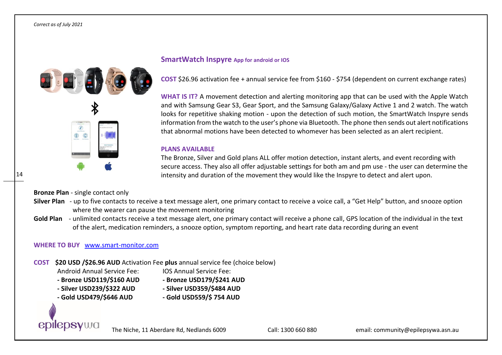### **SmartWatch Inspyre App for android or IOS**

**COST** \$26.96 activation fee + annual service fee from \$160 - \$754 (dependent on current exchange rates)

**WHAT IS IT?** A movement detection and alerting monitoring app that can be used with the Apple Watch and with Samsung Gear S3, Gear Sport, and the Samsung Galaxy/Galaxy Active 1 and 2 watch. The watch looks for repetitive shaking motion - upon the detection of such motion, the SmartWatch Inspyre sends information from the watch to the user's phone via Bluetooth. The phone then sends out alert notifications that abnormal motions have been detected to whomever has been selected as an alert recipient.

#### **PLANS AVAILABLE**

The Bronze, Silver and Gold plans ALL offer motion detection, instant alerts, and event recording with secure access. They also all offer adjustable settings for both am and pm use - the user can determine the intensity and duration of the movement they would like the Inspyre to detect and alert upon.

**Bronze Plan** - single contact only

- **Silver Plan** up to five contacts to receive a text message alert, one primary contact to receive a voice call, a "Get Help" button, and snooze option where the wearer can pause the movement monitoring
- **Gold Plan** unlimited contacts receive a text message alert, one primary contact will receive a phone call, GPS location of the individual in the text of the alert, medication reminders, a snooze option, symptom reporting, and heart rate data recording during an event

## **WHERE TO BUY** [www.smart-monitor.com](http://www.smart-monitor.com/)

- **COST \$20 USD /\$26.96 AUD** Activation Fee **plus** annual service fee (choice below)
	- Android Annual Service Fee: IOS Annual Service Fee:
	- **- Bronze USD119/\$160 AUD - Bronze USD179/\$241 AUD**
	-
	- **- Silver USD239/\$322 AUD - Silver USD359/\$484 AUD**
	- **- Gold USD479/\$646 AUD - Gold USD559/\$ 754 AUD**
- 

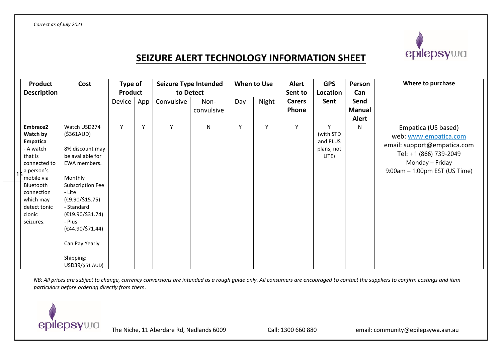

# **SEIZURE ALERT TECHNOLOGY INFORMATION SHEET**

| <b>Product</b><br><b>Description</b>                                                                                                                                                                       | Cost                                                                                                                                                                                                                                                               | Type of<br><b>Product</b> |     | Seizure Type Intended<br>to Detect |                    |     | When to Use | <b>Alert</b><br>Sent to | <b>GPS</b><br>Location                            | Person<br>Can                         | Where to purchase                                                                                                                                            |
|------------------------------------------------------------------------------------------------------------------------------------------------------------------------------------------------------------|--------------------------------------------------------------------------------------------------------------------------------------------------------------------------------------------------------------------------------------------------------------------|---------------------------|-----|------------------------------------|--------------------|-----|-------------|-------------------------|---------------------------------------------------|---------------------------------------|--------------------------------------------------------------------------------------------------------------------------------------------------------------|
|                                                                                                                                                                                                            |                                                                                                                                                                                                                                                                    | Device                    | App | Convulsive                         | Non-<br>convulsive | Day | Night       | <b>Carers</b><br>Phone  | Sent                                              | Send<br><b>Manual</b><br><b>Alert</b> |                                                                                                                                                              |
| Embrace2<br>Watch by<br><b>Empatica</b><br>- A watch<br>that is<br>connected to<br>$15$ <sup>a</sup> person's<br>mobile via<br>Bluetooth<br>connection<br>which may<br>detect tonic<br>clonic<br>seizures. | Watch USD274<br>( \$361AUD)<br>8% discount may<br>be available for<br>EWA members.<br>Monthly<br>Subscription Fee<br>- Lite<br>(€9.90/\$15.75)<br>- Standard<br>$(E19.90/\$31.74)$<br>- Plus<br>(€44.90/\$71.44)<br>Can Pay Yearly<br>Shipping:<br>USD39/\$51 AUD) | Y                         | Y   | Y                                  | N                  | Y   | Y           | Y                       | v<br>(with STD<br>and PLUS<br>plans, not<br>LITE) | N                                     | Empatica (US based)<br>web: www.empatica.com<br>email: support@empatica.com<br>Tel: +1 (866) 739-2049<br>Monday – Friday<br>$9:00$ am – 1:00pm EST (US Time) |

*NB*: All prices are subject to change, currency conversions are intended as a rough guide only. All consumers are encouraged to contact the suppliers to confirm costings and item *particulars before ordering directly from them.*

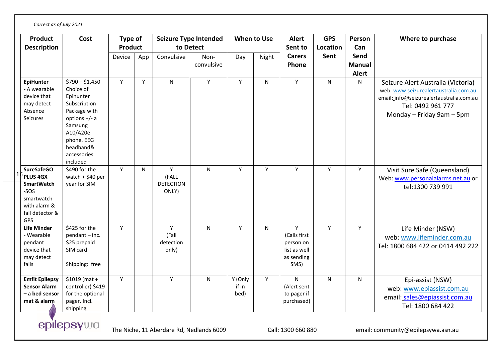| <b>Product</b><br><b>Description</b>                                                                                    | Cost                                                                                                                                                                      | Type of<br><b>Product</b> |     | Seizure Type Intended<br>to Detect      |                    | When to Use              |       | <b>Alert</b><br>Sent to                                              | <b>GPS</b><br>Location | Person<br>Can                         | Where to purchase                                                                                                                                                         |
|-------------------------------------------------------------------------------------------------------------------------|---------------------------------------------------------------------------------------------------------------------------------------------------------------------------|---------------------------|-----|-----------------------------------------|--------------------|--------------------------|-------|----------------------------------------------------------------------|------------------------|---------------------------------------|---------------------------------------------------------------------------------------------------------------------------------------------------------------------------|
|                                                                                                                         |                                                                                                                                                                           | Device                    | App | Convulsive                              | Non-<br>convulsive | Day                      | Night | <b>Carers</b><br>Phone                                               | Sent                   | Send<br><b>Manual</b><br><b>Alert</b> |                                                                                                                                                                           |
| <b>EpiHunter</b><br>- A wearable<br>device that<br>may detect<br>Absence<br>Seizures                                    | $$790 - $1,450$<br>Choice of<br>Epihunter<br>Subscription<br>Package with<br>options $+/- a$<br>Samsung<br>A10/A20e<br>phone. EEG<br>headband&<br>accessories<br>included | Y                         | Y   | ${\sf N}$                               | Y                  | Y                        | N     | Y                                                                    | N                      | N                                     | Seizure Alert Australia (Victoria)<br>web: www.seizurealertaustralia.com.au<br>email: info@seizurealertaustralia.com.au<br>Tel: 0492 961 777<br>Monday - Friday 9am - 5pm |
| <b>SureSafeGO</b><br>$16$ PLUS 4GX<br><b>SmartWatch</b><br>-SOS<br>smartwatch<br>with alarm &<br>fall detector &<br>GPS | \$490 for the<br>watch $+$ \$40 per<br>year for SIM                                                                                                                       | Y                         | N   | Y<br>(FALL<br><b>DETECTION</b><br>ONLY) | ${\sf N}$          | Y                        | Y     | Y                                                                    | Y                      | Y                                     | Visit Sure Safe (Queensland)<br>Web: www.personalalarms.net.au or<br>tel:1300 739 991                                                                                     |
| <b>Life Minder</b><br>- Wearable<br>pendant<br>device that<br>may detect<br>falls                                       | \$425 for the<br>pendant - inc.<br>\$25 prepaid<br>SIM card<br>Shipping: free                                                                                             | Y                         |     | Y<br>(Fall<br>detection<br>only)        | N                  | Y                        | N     | Y<br>(Calls first<br>person on<br>list as well<br>as sending<br>SMS) | Y                      | Y                                     | Life Minder (NSW)<br>web: www.lifeminder.com.au<br>Tel: 1800 684 422 or 0414 492 222                                                                                      |
| <b>Emfit Epilepsy</b><br><b>Sensor Alarm</b><br>- a bed sensor<br>mat & alarm                                           | $$1019$ (mat +<br>controller) \$419<br>for the optional<br>pager. Incl.<br>shipping                                                                                       | Y                         |     | Y                                       | $\mathsf{N}$       | Y (Only<br>if in<br>bed) | Y     | N<br>(Alert sent<br>to pager if<br>purchased)                        | N                      | N                                     | Epi-assist (NSW)<br>web: www.epiassist.com.au<br>email: sales@epiassist.com.au<br>Tel: 1800 684 422                                                                       |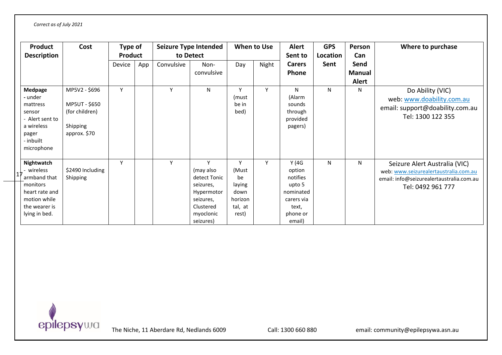| <b>Product</b><br><b>Description</b>                                                                                     | Cost                                                                         | Type of<br><b>Product</b> |     |            | Seizure Type Intended<br>to Detect                                                                            |                                                                   | <b>When to Use</b> | <b>Alert</b><br>Sent to                                                                         | <b>GPS</b><br>Location | Person<br>Can                         | Where to purchase                                                                                                                       |
|--------------------------------------------------------------------------------------------------------------------------|------------------------------------------------------------------------------|---------------------------|-----|------------|---------------------------------------------------------------------------------------------------------------|-------------------------------------------------------------------|--------------------|-------------------------------------------------------------------------------------------------|------------------------|---------------------------------------|-----------------------------------------------------------------------------------------------------------------------------------------|
|                                                                                                                          |                                                                              | Device                    | App | Convulsive | Non-<br>convulsive                                                                                            | Day                                                               | Night              | <b>Carers</b><br><b>Phone</b>                                                                   | Sent                   | Send<br><b>Manual</b><br><b>Alert</b> |                                                                                                                                         |
| Medpage<br>- under<br>mattress<br>sensor<br>- Alert sent to<br>a wireless<br>pager<br>- inbuilt<br>microphone            | MP5V2 - \$696<br>MP5UT - \$650<br>(for children)<br>Shipping<br>approx. \$70 | Y                         |     | Y          | N                                                                                                             | v<br>(must<br>be in<br>bed)                                       | Υ                  | N<br>(Alarm<br>sounds<br>through<br>provided<br>pagers)                                         | N                      | N                                     | Do Ability (VIC)<br>web: www.doability.com.au<br>email: support@doability.com.au<br>Tel: 1300 122 355                                   |
| Nightwatch<br>- wireless<br>armband that<br>monitors<br>heart rate and<br>motion while<br>the wearer is<br>lying in bed. | \$2490 Including<br>Shipping                                                 | Y                         |     | Y          | Y<br>(may also<br>detect Tonic<br>seizures,<br>Hypermotor<br>seizures,<br>Clustered<br>myoclonic<br>seizures) | Y<br>(Must<br>be<br>laying<br>down<br>horizon<br>tal, at<br>rest) | Y                  | Y(4G)<br>option<br>notifies<br>upto 5<br>nominated<br>carers via<br>text,<br>phone or<br>email) | N                      | $\mathsf{N}$                          | Seizure Alert Australia (VIC)<br>web: www.seizurealertaustralia.com.au<br>email: info@seizurealertaustralia.com.au<br>Tel: 0492 961 777 |

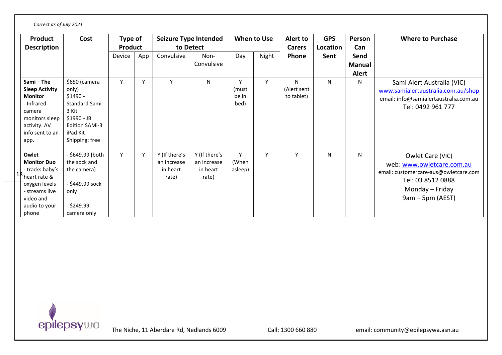| Correct as of July 2021                                                                                                                                       |                                                                                                                                            |                           |     |                                                   |                                                   |                             |             |                                |                        |                                       |                                                                                                                                                    |
|---------------------------------------------------------------------------------------------------------------------------------------------------------------|--------------------------------------------------------------------------------------------------------------------------------------------|---------------------------|-----|---------------------------------------------------|---------------------------------------------------|-----------------------------|-------------|--------------------------------|------------------------|---------------------------------------|----------------------------------------------------------------------------------------------------------------------------------------------------|
| <b>Product</b><br><b>Description</b>                                                                                                                          | Cost                                                                                                                                       | Type of<br><b>Product</b> |     |                                                   | <b>Seizure Type Intended</b><br>to Detect         |                             | When to Use | Alert to<br><b>Carers</b>      | <b>GPS</b><br>Location | Person<br>Can                         | <b>Where to Purchase</b>                                                                                                                           |
|                                                                                                                                                               |                                                                                                                                            | Device                    | App | Convulsive                                        | Non-<br>Convulsive                                | Day                         | Night       | Phone                          | Sent                   | Send<br><b>Manual</b><br><b>Alert</b> |                                                                                                                                                    |
| Sami - The<br><b>Sleep Activity</b><br><b>Monitor</b><br>- Infrared<br>camera<br>monitors sleep<br>activity. AV<br>info sent to an<br>app.                    | \$650 (camera<br>only)<br>$$1490 -$<br><b>Standard Sami</b><br>3 Kit<br>\$1990 - JB<br><b>Edition SAMi-3</b><br>iPad Kit<br>Shipping: free | Y                         | Y   | Y                                                 | N                                                 | Y<br>(must<br>be in<br>bed) | Y           | N<br>(Alert sent<br>to tablet) | N                      | N                                     | Sami Alert Australia (VIC)<br>www.samialertaustralia.com.au/shop<br>email: info@samialertaustralia.com.au<br>Tel: 0492 961 777                     |
| Owlet<br><b>Monitor Duo</b><br>- tracks baby's<br>$\cdot$ <sup>8</sup> heart rate &<br>oxygen levels<br>- streams live<br>video and<br>audio to your<br>phone | - \$649.99 (both<br>the sock and<br>the camera)<br>- \$449.99 sock<br>only<br>$-$ \$249.99<br>camera only                                  | Y                         | Y   | Y (If there's<br>an increase<br>in heart<br>rate) | Y (If there's<br>an increase<br>in heart<br>rate) | Y<br>(When<br>asleep)       | Υ           | Y                              | N                      | N                                     | Owlet Care (VIC)<br>web: www.owletcare.com.au<br>email: customercare-aus@owletcare.com<br>Tel: 03 8512 0888<br>Monday – Friday<br>9am – 5pm (AEST) |

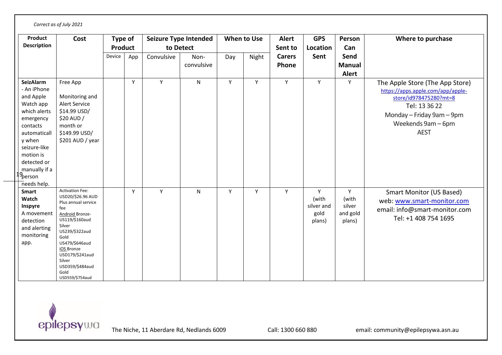| Product<br><b>Description</b>                                                                                                                                                                                            | Cost                                                                                                                                                                                                                                                          | Type of<br><b>Product</b> |     | Seizure Type Intended<br>to Detect |                    | When to Use |       | <b>Alert</b><br>Sent to | <b>GPS</b><br>Location                     | Person<br>Can                              | Where to purchase                                                                                                                                                                 |
|--------------------------------------------------------------------------------------------------------------------------------------------------------------------------------------------------------------------------|---------------------------------------------------------------------------------------------------------------------------------------------------------------------------------------------------------------------------------------------------------------|---------------------------|-----|------------------------------------|--------------------|-------------|-------|-------------------------|--------------------------------------------|--------------------------------------------|-----------------------------------------------------------------------------------------------------------------------------------------------------------------------------------|
|                                                                                                                                                                                                                          |                                                                                                                                                                                                                                                               | Device                    | App | Convulsive                         | Non-<br>convulsive | Day         | Night | <b>Carers</b><br>Phone  | Sent                                       | Send<br><b>Manual</b><br><b>Alert</b>      |                                                                                                                                                                                   |
| <b>SeizAlarm</b><br>- An iPhone<br>and Apple<br>Watch app<br>which alerts<br>emergency<br>contacts<br>automaticall<br>y when<br>seizure-like<br>motion is<br>detected or<br>manually if a<br>.g<br>Person<br>needs help. | Free App<br>Monitoring and<br>Alert Service<br>\$14.99 USD/<br>\$20 AUD /<br>month or<br>\$149.99 USD/<br>\$201 AUD / year                                                                                                                                    |                           | Y   | Y                                  | N                  | Y           | Y     | Y                       | Y                                          | Y                                          | The Apple Store (The App Store)<br>https://apps.apple.com/app/apple-<br>store/id978475280?mt=8<br>Tel: 13 36 22<br>Monday - Friday 9am - 9pm<br>Weekends 9am - 6pm<br><b>AEST</b> |
| <b>Smart</b><br>Watch<br>Inspyre<br>A movement<br>detection<br>and alerting<br>monitoring<br>app.                                                                                                                        | <b>Activation Fee:</b><br>USD20/\$26.96 AUD<br>Plus annual service<br>fee<br>Android Bronze-<br>US119/\$160aud<br>Silver<br>US239/\$322aud<br>Gold<br>US479/\$646aud<br>iOS_Bronze<br>USD179/\$241aud<br>Silver<br>USD359/\$484aud<br>Gold<br>USD559/\$754aud |                           | Y   | Y                                  | N                  | Y           | Y     | Y                       | Y<br>(with<br>silver and<br>gold<br>plans) | Y<br>(with<br>silver<br>and gold<br>plans) | <b>Smart Monitor (US Based)</b><br>web: www.smart-monitor.com<br>email: info@smart-monitor.com<br>Tel: +1 408 754 1695                                                            |